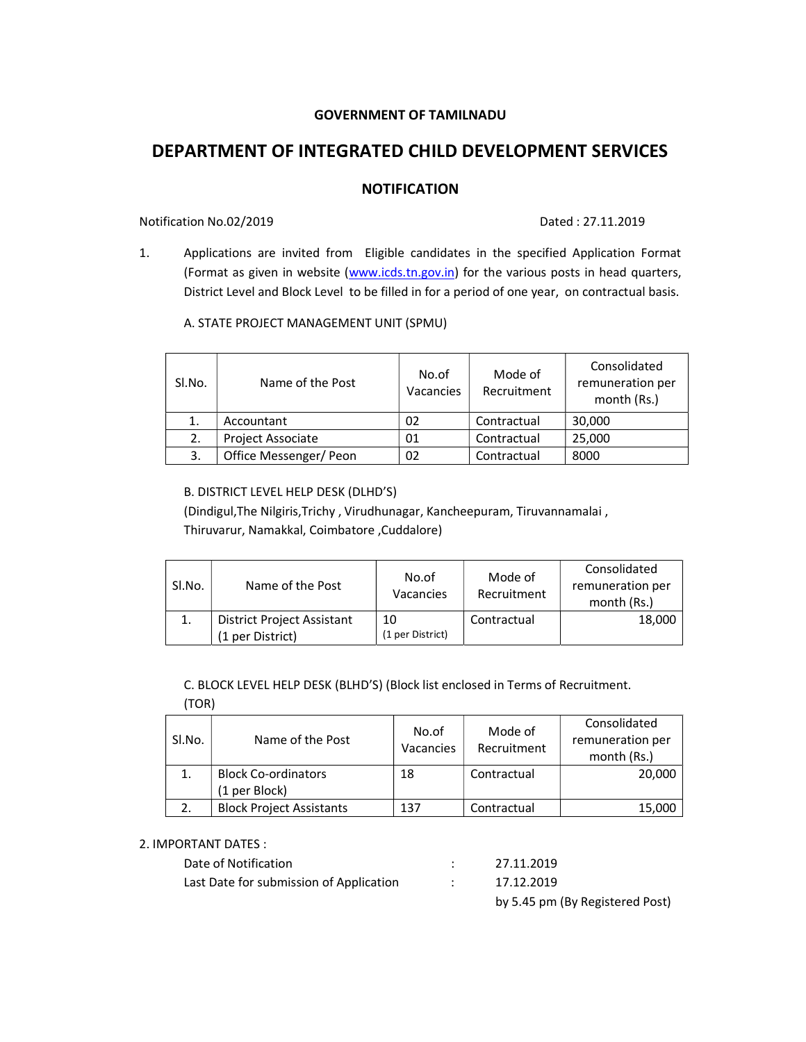# GOVERNMENT OF TAMILNADU

# DEPARTMENT OF INTEGRATED CHILD DEVELOPMENT SERVICES

# **NOTIFICATION**

# Notification No.02/2019 Dated : 27.11.2019

1. Applications are invited from Eligible candidates in the specified Application Format (Format as given in website (www.icds.tn.gov.in) for the various posts in head quarters, District Level and Block Level to be filled in for a period of one year, on contractual basis.

# A. STATE PROJECT MANAGEMENT UNIT (SPMU)

| SI.No. | Name of the Post         | No.of<br>Vacancies | Mode of<br>Recruitment | Consolidated<br>remuneration per<br>month (Rs.) |
|--------|--------------------------|--------------------|------------------------|-------------------------------------------------|
|        | Accountant               | 02                 | Contractual            | 30,000                                          |
| 2.     | <b>Project Associate</b> | 01                 | Contractual            | 25,000                                          |
|        | Office Messenger/Peon    | 02                 | Contractual            | 8000                                            |

# B. DISTRICT LEVEL HELP DESK (DLHD'S)

(Dindigul,The Nilgiris,Trichy , Virudhunagar, Kancheepuram, Tiruvannamalai , Thiruvarur, Namakkal, Coimbatore ,Cuddalore)

| Sl.No. | Name of the Post                                      | No.of<br>Vacancies     | Mode of<br>Recruitment | Consolidated<br>remuneration per<br>month (Rs.) |
|--------|-------------------------------------------------------|------------------------|------------------------|-------------------------------------------------|
|        | <b>District Project Assistant</b><br>(1 per District) | 10<br>(1 per District) | Contractual            | 18,000                                          |

C. BLOCK LEVEL HELP DESK (BLHD'S) (Block list enclosed in Terms of Recruitment.

(TOR)

| SI.No. | Name of the Post                | No.of<br>Vacancies | Mode of<br>Recruitment | Consolidated<br>remuneration per<br>month (Rs.) |
|--------|---------------------------------|--------------------|------------------------|-------------------------------------------------|
|        | <b>Block Co-ordinators</b>      | 18                 | Contractual            | 20,000                                          |
|        | (1 per Block)                   |                    |                        |                                                 |
|        | <b>Block Project Assistants</b> | 137                | Contractual            | 15,000                                          |

### 2. IMPORTANT DATES :

| Date of Notification                    |               | 27.11.2019                      |
|-----------------------------------------|---------------|---------------------------------|
| Last Date for submission of Application | $\sim$ $\sim$ | 17.12.2019                      |
|                                         |               | by 5.45 pm (By Registered Post) |